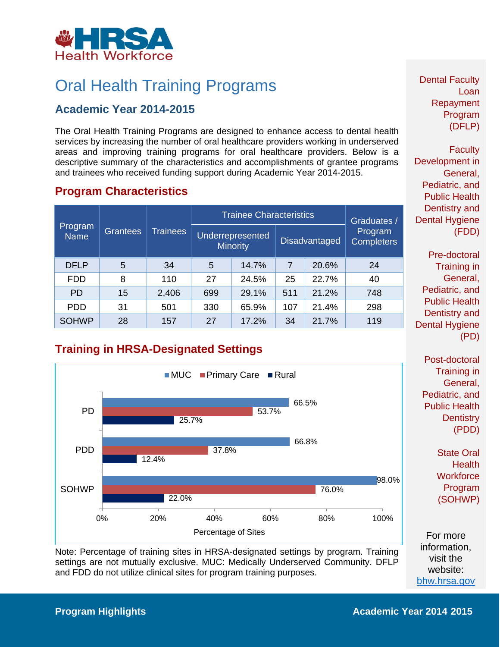

## Oral Health Training Programs

#### **Academic Year 2014-2015**

 The Oral Health Training Programs are designed to enhance access to dental health services by increasing the number of oral healthcare providers working in underserved areas and improving training programs for oral healthcare providers. Below is a descriptive summary of the characteristics and accomplishments of grantee programs and trainees who received funding support during Academic Year 2014-2015.

#### **Program Characteristics**

| Program<br><b>Name</b> | Grantees | <b>Trainees</b> | <b>Trainee Characteristics</b> |                                     |     |                      | Graduates /                  |
|------------------------|----------|-----------------|--------------------------------|-------------------------------------|-----|----------------------|------------------------------|
|                        |          |                 |                                | Underrepresented<br><b>Minority</b> |     | <b>Disadvantaged</b> | Program<br><b>Completers</b> |
| <b>DFLP</b>            | 5        | 34              | 5                              | 14.7%                               | 7   | 20.6%                | 24                           |
| <b>FDD</b>             | 8        | 110             | 27                             | 24.5%                               | 25  | 22.7%                | 40                           |
| <b>PD</b>              | 15       | 2,406           | 699                            | 29.1%                               | 511 | 21.2%                | 748                          |
| <b>PDD</b>             | 31       | 501             | 330                            | 65.9%                               | 107 | 21.4%                | 298                          |
| <b>SOHWP</b>           | 28       | 157             | 27                             | 17.2%                               | 34  | 21.7%                | 119                          |

### **Training in HRSA-Designated Settings**



Note: Percentage of training sites in HRSA-designated settings by program. Training<br>settings are not mutually exclusive. MUC: Medically Underserved Community. DFLP<br>and FDD do not utilize clinical sites for program training

Dental Faculty Loan Repayment Program (DFLP)

**Faculty** Development in General, Pediatric, and Public Health Dentistry and Dental Hygiene (FDD)

 Dental Hygiene Pre-doctoral Training in General, Pediatric, and Public Health Dentistry and (PD)

Post-doctoral Training in General, Pediatric, and Public Health **Dentistry** (PDD)

> State Oral **Health Workforce** Program (SOHWP)

For more